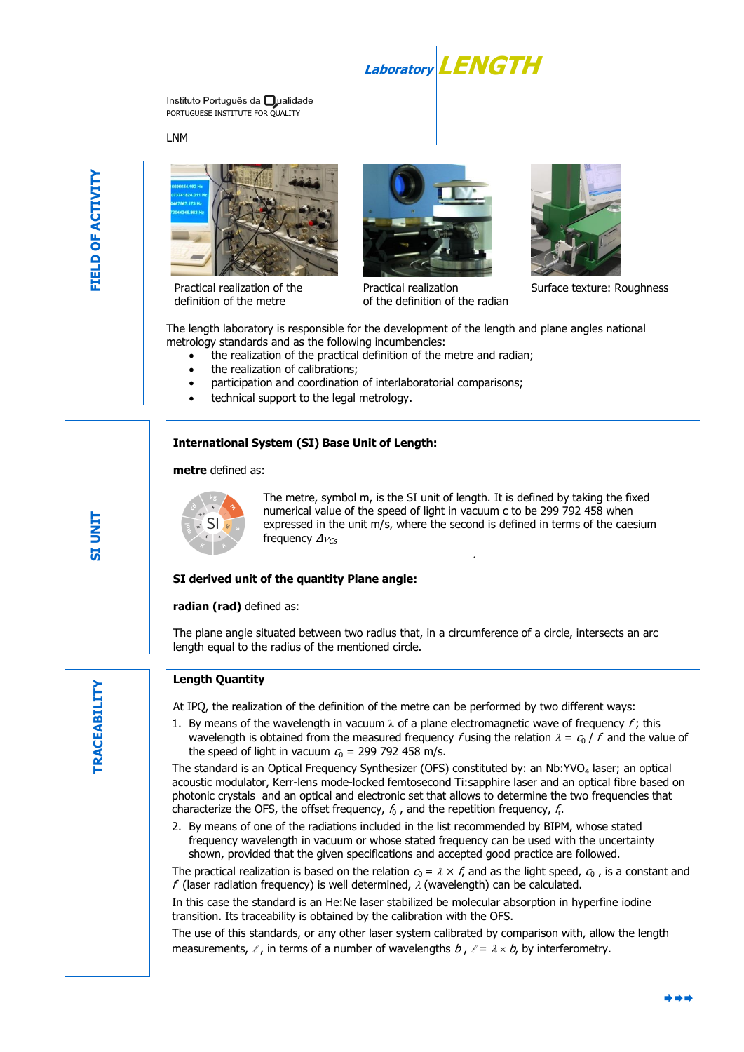Laborator

Instituto Português da **O**ualidade PORTUGUESE INSTITUTE FOR QUALITY

LNM

**O**



Practical realization of the definition of the metre



Practical realization of the definition of the radian



Surface texture: Roughness

The length laboratory is responsible for the development of the length and plane angles national metrology standards and as the following incumbencies:

- the realization of the practical definition of the metre and radian;
- the realization of calibrations;
- participation and coordination of interlaboratorial comparisons;
- technical support to the legal metrology.

# **International System (SI) Base Unit of Length:**

#### **metre** defined as:



The metre, symbol m, is the SI unit of length. It is defined by taking the fixed numerical value of the speed of light in vacuum c to be 299 792 458 when expressed in the unit m/s, where the second is defined in terms of the caesium frequency  $\Delta v_{Cs}$ 

.

# **SI derived unit of the quantity Plane angle:**

# radian (rad) defined as:

The plane angle situated between two radius that, in a circumference of a circle, intersects an arc length equal to the radius of the mentioned circle.

# **Length Quantity**

At IPQ, the realization of the definition of the metre can be performed by two different ways:

1. By means of the wavelength in vacuum  $\lambda$  of a plane electromagnetic wave of frequency f; this wavelength is obtained from the measured frequency f using the relation  $\lambda = c_0 / f$  and the value of the speed of light in vacuum  $c_0$  = 299 792 458 m/s.

The standard is an Optical Frequency Synthesizer (OFS) constituted by: an Nb:YVO<sub>4</sub> laser; an optical acoustic modulator, Kerr-lens mode-locked femtosecond Ti:sapphire laser and an optical fibre based on photonic crystals and an optical and electronic set that allows to determine the two frequencies that characterize the OFS, the offset frequency,  $f_0$  , and the repetition frequency,  $f_{\rm r}$ .

2. By means of one of the radiations included in the list recommended by BIPM, whose stated frequency wavelength in vacuum or whose stated frequency can be used with the uncertainty shown, provided that the given specifications and accepted good practice are followed.

The practical realization is based on the relation  $c_0 = \lambda \times f$ , and as the light speed,  $c_0$ , is a constant and f (laser radiation frequency) is well determined,  $\lambda$  (wavelength) can be calculated.

In this case the standard is an He:Ne laser stabilized be molecular absorption in hyperfine iodine transition. Its traceability is obtained by the calibration with the OFS.

The use of this standards, or any other laser system calibrated by comparison with, allow the length measurements,  $\ell$ , in terms of a number of wavelengths  $b$ ,  $\ell = \lambda \times b$ , by interferometry.

**SI UNIT**

**TRACEABILITY TRACEABILITY** 

**O**